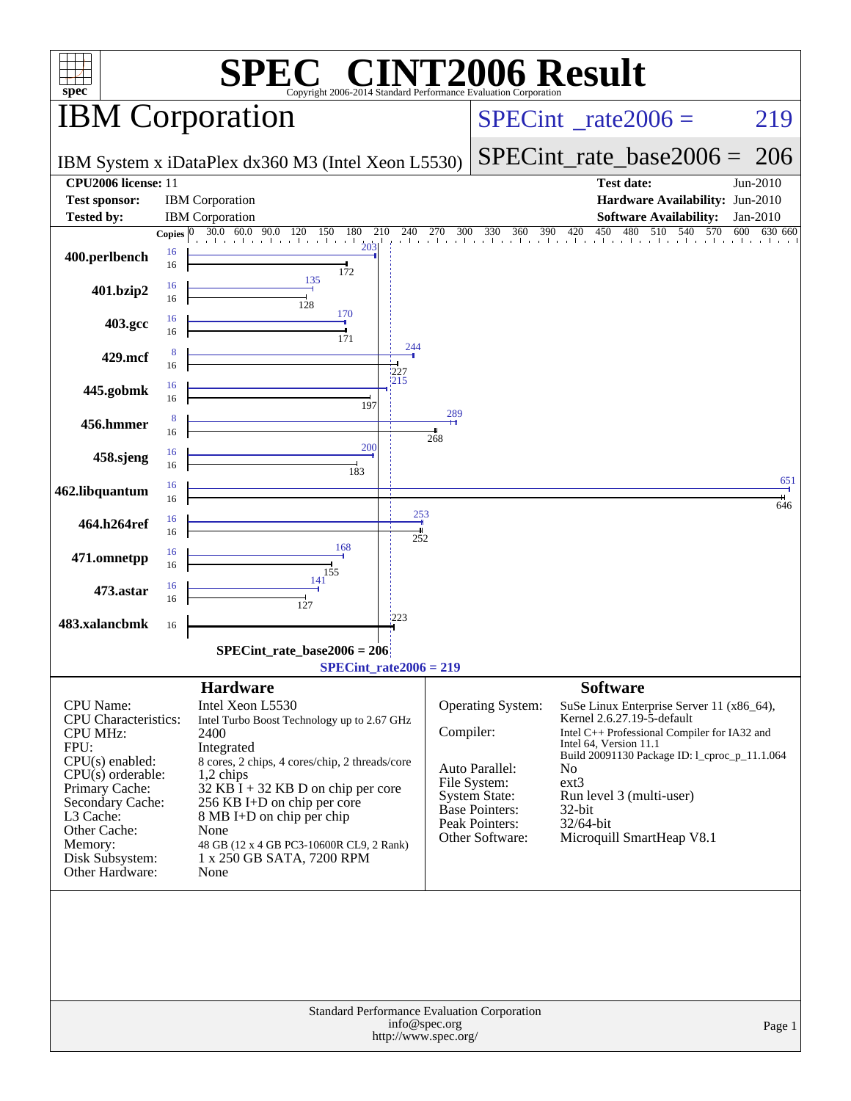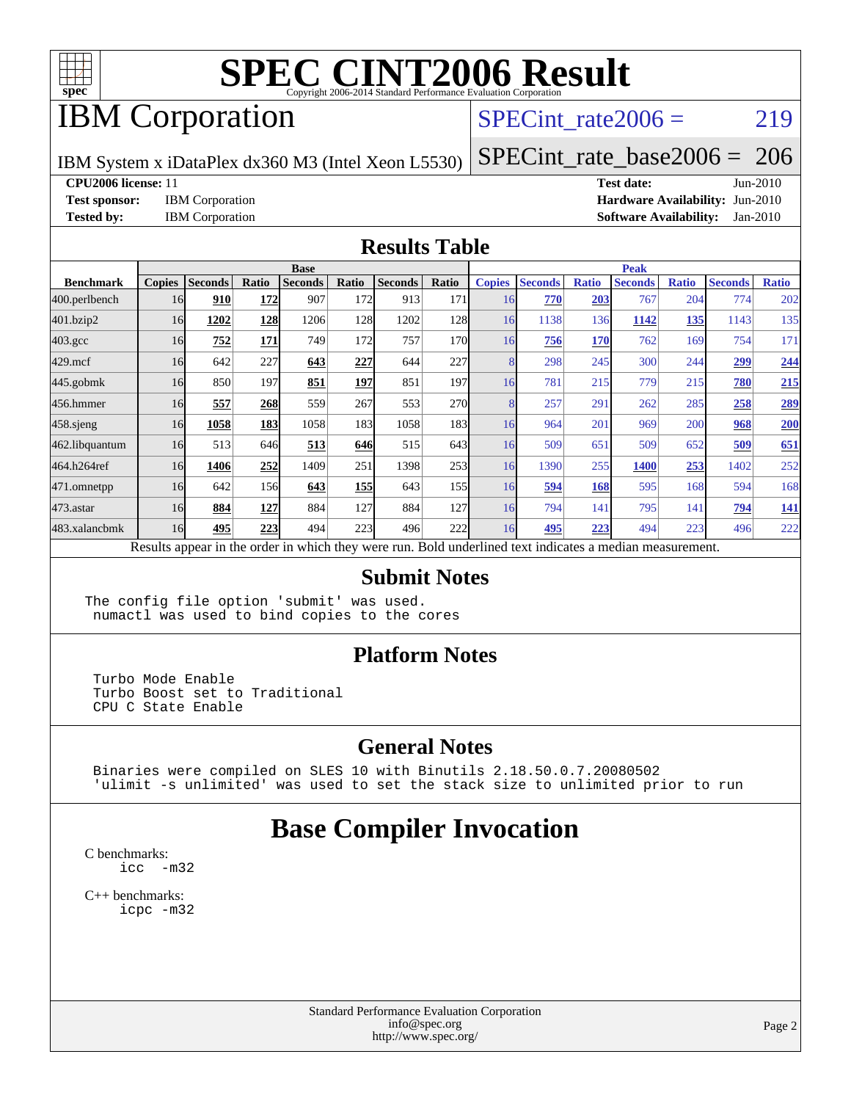

## IBM Corporation

### SPECint rate $2006 = 219$

IBM System x iDataPlex dx360 M3 (Intel Xeon L5530)

[SPECint\\_rate\\_base2006 =](http://www.spec.org/auto/cpu2006/Docs/result-fields.html#SPECintratebase2006) 206

**[CPU2006 license:](http://www.spec.org/auto/cpu2006/Docs/result-fields.html#CPU2006license)** 11 **[Test date:](http://www.spec.org/auto/cpu2006/Docs/result-fields.html#Testdate)** Jun-2010

**[Test sponsor:](http://www.spec.org/auto/cpu2006/Docs/result-fields.html#Testsponsor)** IBM Corporation **[Hardware Availability:](http://www.spec.org/auto/cpu2006/Docs/result-fields.html#HardwareAvailability)** Jun-2010 **[Tested by:](http://www.spec.org/auto/cpu2006/Docs/result-fields.html#Testedby)** IBM Corporation **[Software Availability:](http://www.spec.org/auto/cpu2006/Docs/result-fields.html#SoftwareAvailability)** Jan-2010

#### **[Results Table](http://www.spec.org/auto/cpu2006/Docs/result-fields.html#ResultsTable)**

|                    | <b>Base</b>   |                |                  |                |            |                                                                                                          |                  | <b>Peak</b>   |                |              |                |              |                |              |
|--------------------|---------------|----------------|------------------|----------------|------------|----------------------------------------------------------------------------------------------------------|------------------|---------------|----------------|--------------|----------------|--------------|----------------|--------------|
| <b>Benchmark</b>   | <b>Copies</b> | <b>Seconds</b> | Ratio            | <b>Seconds</b> | Ratio      | <b>Seconds</b>                                                                                           | Ratio            | <b>Copies</b> | <b>Seconds</b> | <b>Ratio</b> | <b>Seconds</b> | <b>Ratio</b> | <b>Seconds</b> | <b>Ratio</b> |
| 400.perlbench      | 16            | 910            | 172              | 907            | 172I       | 913                                                                                                      | 171              | 16            | 770            | 203          | 767            | 204          | 774            | 202          |
| 401.bzip2          | 16            | 1202           | 128              | 1206           | 128        | 1202                                                                                                     | 128              | 16            | 1138           | 136          | 1142           | 135          | 1143           | 135          |
| $403.\mathrm{gcc}$ | 16            | 752            | 171              | 749            | 172        | 757                                                                                                      | 170              | 16            | 756            | 170          | 762            | 169          | 754            | 171          |
| $429$ .mcf         | 16            | 642            | 227              | 643            | 227        | 644                                                                                                      | 227              |               | 298            | 245          | 300            | 244          | 299            | 244          |
| $445$ .gobmk       | 16            | 850            | 197              | 851            | 197        | 851                                                                                                      | 197              | 16            | 781            | 215          | 779            | 215          | 780            | 215          |
| 456.hmmer          | 16            | 557            | 268              | 559            | 267        | 553                                                                                                      | <b>270</b>       |               | 257            | 291          | 262            | 285          | 258            | 289          |
| $458$ .sjeng       | 16            | 1058           | 183              | 1058           | 183I       | 1058                                                                                                     | 183 <sup>1</sup> | 16            | 964            | 201          | 969            | 200          | 968            | 200          |
| 462.libquantum     | 16            | 513            | 646              | 513            | 646        | 515                                                                                                      | 643              | 16            | 509            | 651          | 509            | 652          | 509            | 651          |
| 464.h264ref        | 16            | 1406           | 252              | 1409           | 251        | 1398                                                                                                     | 253              | 16            | 1390           | 255          | 1400           | 253          | 1402           | 252          |
| 471.omnetpp        | 16            | 642            | 156 <sub>l</sub> | 643            | <b>155</b> | 643                                                                                                      | 155              | 16            | 594            | 168          | 595            | 168          | 594            | 168          |
| 473.astar          | 16            | 884            | 127              | 884            | 127        | 884                                                                                                      | 127              | 16            | 794            | 141          | 795            | 141          | 794            | <b>141</b>   |
| 483.xalancbmk      | 16            | 495            | 223              | 494            | 223        | 496                                                                                                      | 222              | 16            | 495            | 223          | 494            | 223          | 496            | 222          |
|                    |               |                |                  |                |            | Results appear in the order in which they were run. Bold underlined text indicates a median measurement. |                  |               |                |              |                |              |                |              |

#### **[Submit Notes](http://www.spec.org/auto/cpu2006/Docs/result-fields.html#SubmitNotes)**

The config file option 'submit' was used. numactl was used to bind copies to the cores

#### **[Platform Notes](http://www.spec.org/auto/cpu2006/Docs/result-fields.html#PlatformNotes)**

 Turbo Mode Enable Turbo Boost set to Traditional CPU C State Enable

#### **[General Notes](http://www.spec.org/auto/cpu2006/Docs/result-fields.html#GeneralNotes)**

 Binaries were compiled on SLES 10 with Binutils 2.18.50.0.7.20080502 'ulimit -s unlimited' was used to set the stack size to unlimited prior to run

### **[Base Compiler Invocation](http://www.spec.org/auto/cpu2006/Docs/result-fields.html#BaseCompilerInvocation)**

[C benchmarks](http://www.spec.org/auto/cpu2006/Docs/result-fields.html#Cbenchmarks): [icc -m32](http://www.spec.org/cpu2006/results/res2010q3/cpu2006-20100719-12490.flags.html#user_CCbase_intel_icc_32bit_5ff4a39e364c98233615fdd38438c6f2)

[C++ benchmarks:](http://www.spec.org/auto/cpu2006/Docs/result-fields.html#CXXbenchmarks) [icpc -m32](http://www.spec.org/cpu2006/results/res2010q3/cpu2006-20100719-12490.flags.html#user_CXXbase_intel_icpc_32bit_4e5a5ef1a53fd332b3c49e69c3330699)

> Standard Performance Evaluation Corporation [info@spec.org](mailto:info@spec.org) <http://www.spec.org/>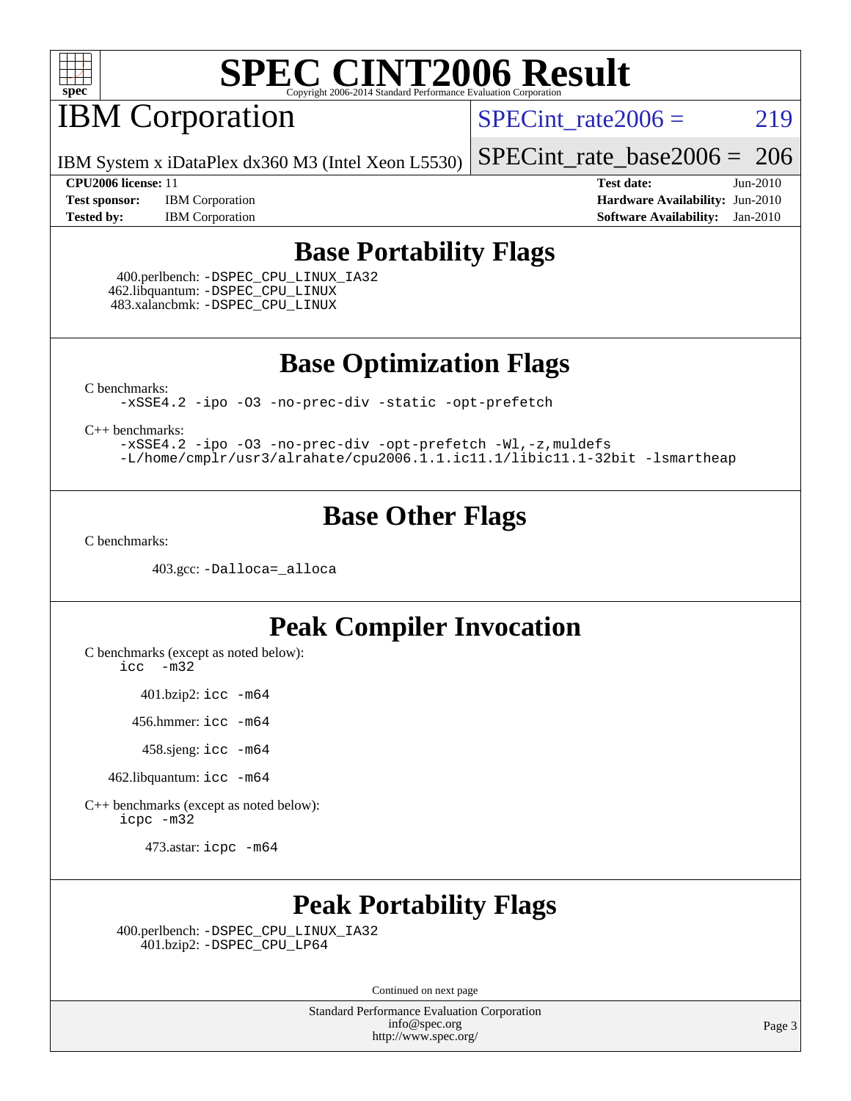

## **IBM Corporation**

SPECint rate $2006 = 219$ 

IBM System x iDataPlex dx360 M3 (Intel Xeon L5530)

[SPECint\\_rate\\_base2006 =](http://www.spec.org/auto/cpu2006/Docs/result-fields.html#SPECintratebase2006) 206

**[Test sponsor:](http://www.spec.org/auto/cpu2006/Docs/result-fields.html#Testsponsor)** IBM Corporation **[Hardware Availability:](http://www.spec.org/auto/cpu2006/Docs/result-fields.html#HardwareAvailability)** Jun-2010 **[Tested by:](http://www.spec.org/auto/cpu2006/Docs/result-fields.html#Testedby)** IBM Corporation **[Software Availability:](http://www.spec.org/auto/cpu2006/Docs/result-fields.html#SoftwareAvailability)** Jan-2010

**[CPU2006 license:](http://www.spec.org/auto/cpu2006/Docs/result-fields.html#CPU2006license)** 11 **[Test date:](http://www.spec.org/auto/cpu2006/Docs/result-fields.html#Testdate)** Jun-2010

### **[Base Portability Flags](http://www.spec.org/auto/cpu2006/Docs/result-fields.html#BasePortabilityFlags)**

 400.perlbench: [-DSPEC\\_CPU\\_LINUX\\_IA32](http://www.spec.org/cpu2006/results/res2010q3/cpu2006-20100719-12490.flags.html#b400.perlbench_baseCPORTABILITY_DSPEC_CPU_LINUX_IA32) 462.libquantum: [-DSPEC\\_CPU\\_LINUX](http://www.spec.org/cpu2006/results/res2010q3/cpu2006-20100719-12490.flags.html#b462.libquantum_baseCPORTABILITY_DSPEC_CPU_LINUX) 483.xalancbmk: [-DSPEC\\_CPU\\_LINUX](http://www.spec.org/cpu2006/results/res2010q3/cpu2006-20100719-12490.flags.html#b483.xalancbmk_baseCXXPORTABILITY_DSPEC_CPU_LINUX)

**[Base Optimization Flags](http://www.spec.org/auto/cpu2006/Docs/result-fields.html#BaseOptimizationFlags)**

[C benchmarks](http://www.spec.org/auto/cpu2006/Docs/result-fields.html#Cbenchmarks):

[-xSSE4.2](http://www.spec.org/cpu2006/results/res2010q3/cpu2006-20100719-12490.flags.html#user_CCbase_f-xSSE42_f91528193cf0b216347adb8b939d4107) [-ipo](http://www.spec.org/cpu2006/results/res2010q3/cpu2006-20100719-12490.flags.html#user_CCbase_f-ipo) [-O3](http://www.spec.org/cpu2006/results/res2010q3/cpu2006-20100719-12490.flags.html#user_CCbase_f-O3) [-no-prec-div](http://www.spec.org/cpu2006/results/res2010q3/cpu2006-20100719-12490.flags.html#user_CCbase_f-no-prec-div) [-static](http://www.spec.org/cpu2006/results/res2010q3/cpu2006-20100719-12490.flags.html#user_CCbase_f-static) [-opt-prefetch](http://www.spec.org/cpu2006/results/res2010q3/cpu2006-20100719-12490.flags.html#user_CCbase_f-opt-prefetch)

[C++ benchmarks:](http://www.spec.org/auto/cpu2006/Docs/result-fields.html#CXXbenchmarks)

[-xSSE4.2](http://www.spec.org/cpu2006/results/res2010q3/cpu2006-20100719-12490.flags.html#user_CXXbase_f-xSSE42_f91528193cf0b216347adb8b939d4107) [-ipo](http://www.spec.org/cpu2006/results/res2010q3/cpu2006-20100719-12490.flags.html#user_CXXbase_f-ipo) [-O3](http://www.spec.org/cpu2006/results/res2010q3/cpu2006-20100719-12490.flags.html#user_CXXbase_f-O3) [-no-prec-div](http://www.spec.org/cpu2006/results/res2010q3/cpu2006-20100719-12490.flags.html#user_CXXbase_f-no-prec-div) [-opt-prefetch](http://www.spec.org/cpu2006/results/res2010q3/cpu2006-20100719-12490.flags.html#user_CXXbase_f-opt-prefetch) [-Wl,-z,muldefs](http://www.spec.org/cpu2006/results/res2010q3/cpu2006-20100719-12490.flags.html#user_CXXbase_link_force_multiple1_74079c344b956b9658436fd1b6dd3a8a) [-L/home/cmplr/usr3/alrahate/cpu2006.1.1.ic11.1/libic11.1-32bit -lsmartheap](http://www.spec.org/cpu2006/results/res2010q3/cpu2006-20100719-12490.flags.html#user_CXXbase_SmartHeap_d86dffe4a79b79ef8890d5cce17030c3)

### **[Base Other Flags](http://www.spec.org/auto/cpu2006/Docs/result-fields.html#BaseOtherFlags)**

[C benchmarks](http://www.spec.org/auto/cpu2006/Docs/result-fields.html#Cbenchmarks):

403.gcc: [-Dalloca=\\_alloca](http://www.spec.org/cpu2006/results/res2010q3/cpu2006-20100719-12490.flags.html#b403.gcc_baseEXTRA_CFLAGS_Dalloca_be3056838c12de2578596ca5467af7f3)

### **[Peak Compiler Invocation](http://www.spec.org/auto/cpu2006/Docs/result-fields.html#PeakCompilerInvocation)**

[C benchmarks \(except as noted below\)](http://www.spec.org/auto/cpu2006/Docs/result-fields.html#Cbenchmarksexceptasnotedbelow):

[icc -m32](http://www.spec.org/cpu2006/results/res2010q3/cpu2006-20100719-12490.flags.html#user_CCpeak_intel_icc_32bit_5ff4a39e364c98233615fdd38438c6f2)

401.bzip2: [icc -m64](http://www.spec.org/cpu2006/results/res2010q3/cpu2006-20100719-12490.flags.html#user_peakCCLD401_bzip2_intel_icc_64bit_bda6cc9af1fdbb0edc3795bac97ada53)

456.hmmer: [icc -m64](http://www.spec.org/cpu2006/results/res2010q3/cpu2006-20100719-12490.flags.html#user_peakCCLD456_hmmer_intel_icc_64bit_bda6cc9af1fdbb0edc3795bac97ada53)

458.sjeng: [icc -m64](http://www.spec.org/cpu2006/results/res2010q3/cpu2006-20100719-12490.flags.html#user_peakCCLD458_sjeng_intel_icc_64bit_bda6cc9af1fdbb0edc3795bac97ada53)

462.libquantum: [icc -m64](http://www.spec.org/cpu2006/results/res2010q3/cpu2006-20100719-12490.flags.html#user_peakCCLD462_libquantum_intel_icc_64bit_bda6cc9af1fdbb0edc3795bac97ada53)

[C++ benchmarks \(except as noted below\):](http://www.spec.org/auto/cpu2006/Docs/result-fields.html#CXXbenchmarksexceptasnotedbelow) [icpc -m32](http://www.spec.org/cpu2006/results/res2010q3/cpu2006-20100719-12490.flags.html#user_CXXpeak_intel_icpc_32bit_4e5a5ef1a53fd332b3c49e69c3330699)

473.astar: [icpc -m64](http://www.spec.org/cpu2006/results/res2010q3/cpu2006-20100719-12490.flags.html#user_peakCXXLD473_astar_intel_icpc_64bit_fc66a5337ce925472a5c54ad6a0de310)

### **[Peak Portability Flags](http://www.spec.org/auto/cpu2006/Docs/result-fields.html#PeakPortabilityFlags)**

 400.perlbench: [-DSPEC\\_CPU\\_LINUX\\_IA32](http://www.spec.org/cpu2006/results/res2010q3/cpu2006-20100719-12490.flags.html#b400.perlbench_peakCPORTABILITY_DSPEC_CPU_LINUX_IA32) 401.bzip2: [-DSPEC\\_CPU\\_LP64](http://www.spec.org/cpu2006/results/res2010q3/cpu2006-20100719-12490.flags.html#suite_peakCPORTABILITY401_bzip2_DSPEC_CPU_LP64)

Continued on next page

Standard Performance Evaluation Corporation [info@spec.org](mailto:info@spec.org) <http://www.spec.org/>

Page 3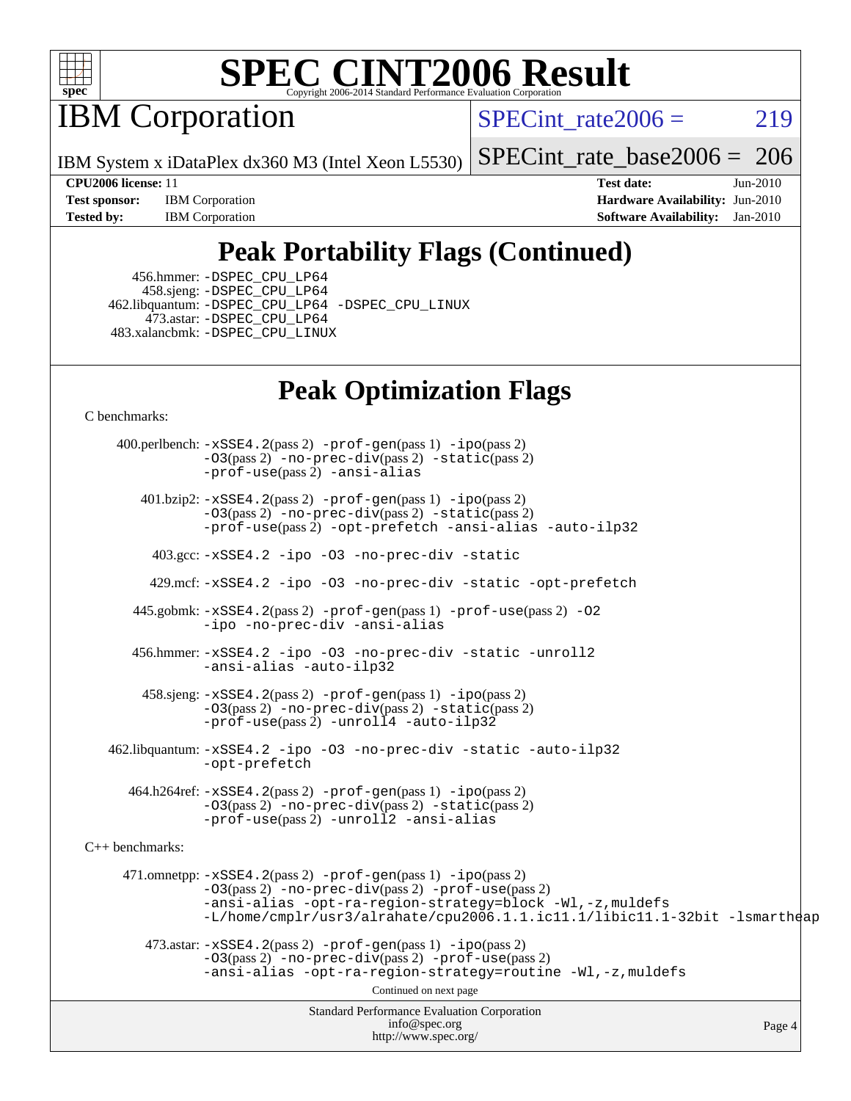

IBM Corporation

SPECint rate $2006 = 219$ 

IBM System x iDataPlex dx360 M3 (Intel Xeon L5530)

[SPECint\\_rate\\_base2006 =](http://www.spec.org/auto/cpu2006/Docs/result-fields.html#SPECintratebase2006) 206

**[Test sponsor:](http://www.spec.org/auto/cpu2006/Docs/result-fields.html#Testsponsor)** IBM Corporation **[Hardware Availability:](http://www.spec.org/auto/cpu2006/Docs/result-fields.html#HardwareAvailability)** Jun-2010 **[Tested by:](http://www.spec.org/auto/cpu2006/Docs/result-fields.html#Testedby)** IBM Corporation **[Software Availability:](http://www.spec.org/auto/cpu2006/Docs/result-fields.html#SoftwareAvailability)** Jan-2010

**[CPU2006 license:](http://www.spec.org/auto/cpu2006/Docs/result-fields.html#CPU2006license)** 11 **[Test date:](http://www.spec.org/auto/cpu2006/Docs/result-fields.html#Testdate)** Jun-2010

## **[Peak Portability Flags \(Continued\)](http://www.spec.org/auto/cpu2006/Docs/result-fields.html#PeakPortabilityFlags)**

 456.hmmer: [-DSPEC\\_CPU\\_LP64](http://www.spec.org/cpu2006/results/res2010q3/cpu2006-20100719-12490.flags.html#suite_peakCPORTABILITY456_hmmer_DSPEC_CPU_LP64) 458.sjeng: [-DSPEC\\_CPU\\_LP64](http://www.spec.org/cpu2006/results/res2010q3/cpu2006-20100719-12490.flags.html#suite_peakCPORTABILITY458_sjeng_DSPEC_CPU_LP64) 462.libquantum: [-DSPEC\\_CPU\\_LP64](http://www.spec.org/cpu2006/results/res2010q3/cpu2006-20100719-12490.flags.html#suite_peakCPORTABILITY462_libquantum_DSPEC_CPU_LP64) [-DSPEC\\_CPU\\_LINUX](http://www.spec.org/cpu2006/results/res2010q3/cpu2006-20100719-12490.flags.html#b462.libquantum_peakCPORTABILITY_DSPEC_CPU_LINUX) 473.astar: [-DSPEC\\_CPU\\_LP64](http://www.spec.org/cpu2006/results/res2010q3/cpu2006-20100719-12490.flags.html#suite_peakCXXPORTABILITY473_astar_DSPEC_CPU_LP64) 483.xalancbmk: [-DSPEC\\_CPU\\_LINUX](http://www.spec.org/cpu2006/results/res2010q3/cpu2006-20100719-12490.flags.html#b483.xalancbmk_peakCXXPORTABILITY_DSPEC_CPU_LINUX)

### **[Peak Optimization Flags](http://www.spec.org/auto/cpu2006/Docs/result-fields.html#PeakOptimizationFlags)**

[C benchmarks](http://www.spec.org/auto/cpu2006/Docs/result-fields.html#Cbenchmarks):

Standard Performance Evaluation Corporation [info@spec.org](mailto:info@spec.org) <http://www.spec.org/> Page 4 400.perlbench: [-xSSE4.2](http://www.spec.org/cpu2006/results/res2010q3/cpu2006-20100719-12490.flags.html#user_peakPASS2_CFLAGSPASS2_LDCFLAGS400_perlbench_f-xSSE42_f91528193cf0b216347adb8b939d4107)(pass 2) [-prof-gen](http://www.spec.org/cpu2006/results/res2010q3/cpu2006-20100719-12490.flags.html#user_peakPASS1_CFLAGSPASS1_LDCFLAGS400_perlbench_prof_gen_e43856698f6ca7b7e442dfd80e94a8fc)(pass 1) [-ipo](http://www.spec.org/cpu2006/results/res2010q3/cpu2006-20100719-12490.flags.html#user_peakPASS2_CFLAGSPASS2_LDCFLAGS400_perlbench_f-ipo)(pass 2) [-O3](http://www.spec.org/cpu2006/results/res2010q3/cpu2006-20100719-12490.flags.html#user_peakPASS2_CFLAGSPASS2_LDCFLAGS400_perlbench_f-O3)(pass 2) [-no-prec-div](http://www.spec.org/cpu2006/results/res2010q3/cpu2006-20100719-12490.flags.html#user_peakPASS2_CFLAGSPASS2_LDCFLAGS400_perlbench_f-no-prec-div)(pass 2) [-static](http://www.spec.org/cpu2006/results/res2010q3/cpu2006-20100719-12490.flags.html#user_peakPASS2_CFLAGSPASS2_LDCFLAGS400_perlbench_f-static)(pass 2) [-prof-use](http://www.spec.org/cpu2006/results/res2010q3/cpu2006-20100719-12490.flags.html#user_peakPASS2_CFLAGSPASS2_LDCFLAGS400_perlbench_prof_use_bccf7792157ff70d64e32fe3e1250b55)(pass 2) [-ansi-alias](http://www.spec.org/cpu2006/results/res2010q3/cpu2006-20100719-12490.flags.html#user_peakCOPTIMIZE400_perlbench_f-ansi-alias) 401.bzip2: [-xSSE4.2](http://www.spec.org/cpu2006/results/res2010q3/cpu2006-20100719-12490.flags.html#user_peakPASS2_CFLAGSPASS2_LDCFLAGS401_bzip2_f-xSSE42_f91528193cf0b216347adb8b939d4107)(pass 2) [-prof-gen](http://www.spec.org/cpu2006/results/res2010q3/cpu2006-20100719-12490.flags.html#user_peakPASS1_CFLAGSPASS1_LDCFLAGS401_bzip2_prof_gen_e43856698f6ca7b7e442dfd80e94a8fc)(pass 1) [-ipo](http://www.spec.org/cpu2006/results/res2010q3/cpu2006-20100719-12490.flags.html#user_peakPASS2_CFLAGSPASS2_LDCFLAGS401_bzip2_f-ipo)(pass 2) [-O3](http://www.spec.org/cpu2006/results/res2010q3/cpu2006-20100719-12490.flags.html#user_peakPASS2_CFLAGSPASS2_LDCFLAGS401_bzip2_f-O3)(pass 2) [-no-prec-div](http://www.spec.org/cpu2006/results/res2010q3/cpu2006-20100719-12490.flags.html#user_peakPASS2_CFLAGSPASS2_LDCFLAGS401_bzip2_f-no-prec-div)(pass 2) [-static](http://www.spec.org/cpu2006/results/res2010q3/cpu2006-20100719-12490.flags.html#user_peakPASS2_CFLAGSPASS2_LDCFLAGS401_bzip2_f-static)(pass 2) [-prof-use](http://www.spec.org/cpu2006/results/res2010q3/cpu2006-20100719-12490.flags.html#user_peakPASS2_CFLAGSPASS2_LDCFLAGS401_bzip2_prof_use_bccf7792157ff70d64e32fe3e1250b55)(pass 2) [-opt-prefetch](http://www.spec.org/cpu2006/results/res2010q3/cpu2006-20100719-12490.flags.html#user_peakCOPTIMIZE401_bzip2_f-opt-prefetch) [-ansi-alias](http://www.spec.org/cpu2006/results/res2010q3/cpu2006-20100719-12490.flags.html#user_peakCOPTIMIZE401_bzip2_f-ansi-alias) [-auto-ilp32](http://www.spec.org/cpu2006/results/res2010q3/cpu2006-20100719-12490.flags.html#user_peakCOPTIMIZE401_bzip2_f-auto-ilp32) 403.gcc: [-xSSE4.2](http://www.spec.org/cpu2006/results/res2010q3/cpu2006-20100719-12490.flags.html#user_peakCOPTIMIZE403_gcc_f-xSSE42_f91528193cf0b216347adb8b939d4107) [-ipo](http://www.spec.org/cpu2006/results/res2010q3/cpu2006-20100719-12490.flags.html#user_peakCOPTIMIZE403_gcc_f-ipo) [-O3](http://www.spec.org/cpu2006/results/res2010q3/cpu2006-20100719-12490.flags.html#user_peakCOPTIMIZE403_gcc_f-O3) [-no-prec-div](http://www.spec.org/cpu2006/results/res2010q3/cpu2006-20100719-12490.flags.html#user_peakCOPTIMIZE403_gcc_f-no-prec-div) [-static](http://www.spec.org/cpu2006/results/res2010q3/cpu2006-20100719-12490.flags.html#user_peakCOPTIMIZE403_gcc_f-static) 429.mcf: [-xSSE4.2](http://www.spec.org/cpu2006/results/res2010q3/cpu2006-20100719-12490.flags.html#user_peakCOPTIMIZE429_mcf_f-xSSE42_f91528193cf0b216347adb8b939d4107) [-ipo](http://www.spec.org/cpu2006/results/res2010q3/cpu2006-20100719-12490.flags.html#user_peakCOPTIMIZE429_mcf_f-ipo) [-O3](http://www.spec.org/cpu2006/results/res2010q3/cpu2006-20100719-12490.flags.html#user_peakCOPTIMIZE429_mcf_f-O3) [-no-prec-div](http://www.spec.org/cpu2006/results/res2010q3/cpu2006-20100719-12490.flags.html#user_peakCOPTIMIZE429_mcf_f-no-prec-div) [-static](http://www.spec.org/cpu2006/results/res2010q3/cpu2006-20100719-12490.flags.html#user_peakCOPTIMIZE429_mcf_f-static) [-opt-prefetch](http://www.spec.org/cpu2006/results/res2010q3/cpu2006-20100719-12490.flags.html#user_peakCOPTIMIZE429_mcf_f-opt-prefetch) 445.gobmk: [-xSSE4.2](http://www.spec.org/cpu2006/results/res2010q3/cpu2006-20100719-12490.flags.html#user_peakPASS2_CFLAGSPASS2_LDCFLAGS445_gobmk_f-xSSE42_f91528193cf0b216347adb8b939d4107)(pass 2) [-prof-gen](http://www.spec.org/cpu2006/results/res2010q3/cpu2006-20100719-12490.flags.html#user_peakPASS1_CFLAGSPASS1_LDCFLAGS445_gobmk_prof_gen_e43856698f6ca7b7e442dfd80e94a8fc)(pass 1) [-prof-use](http://www.spec.org/cpu2006/results/res2010q3/cpu2006-20100719-12490.flags.html#user_peakPASS2_CFLAGSPASS2_LDCFLAGS445_gobmk_prof_use_bccf7792157ff70d64e32fe3e1250b55)(pass 2) [-O2](http://www.spec.org/cpu2006/results/res2010q3/cpu2006-20100719-12490.flags.html#user_peakCOPTIMIZE445_gobmk_f-O2) [-ipo](http://www.spec.org/cpu2006/results/res2010q3/cpu2006-20100719-12490.flags.html#user_peakCOPTIMIZE445_gobmk_f-ipo) [-no-prec-div](http://www.spec.org/cpu2006/results/res2010q3/cpu2006-20100719-12490.flags.html#user_peakCOPTIMIZE445_gobmk_f-no-prec-div) [-ansi-alias](http://www.spec.org/cpu2006/results/res2010q3/cpu2006-20100719-12490.flags.html#user_peakCOPTIMIZE445_gobmk_f-ansi-alias) 456.hmmer: [-xSSE4.2](http://www.spec.org/cpu2006/results/res2010q3/cpu2006-20100719-12490.flags.html#user_peakCOPTIMIZE456_hmmer_f-xSSE42_f91528193cf0b216347adb8b939d4107) [-ipo](http://www.spec.org/cpu2006/results/res2010q3/cpu2006-20100719-12490.flags.html#user_peakCOPTIMIZE456_hmmer_f-ipo) [-O3](http://www.spec.org/cpu2006/results/res2010q3/cpu2006-20100719-12490.flags.html#user_peakCOPTIMIZE456_hmmer_f-O3) [-no-prec-div](http://www.spec.org/cpu2006/results/res2010q3/cpu2006-20100719-12490.flags.html#user_peakCOPTIMIZE456_hmmer_f-no-prec-div) [-static](http://www.spec.org/cpu2006/results/res2010q3/cpu2006-20100719-12490.flags.html#user_peakCOPTIMIZE456_hmmer_f-static) [-unroll2](http://www.spec.org/cpu2006/results/res2010q3/cpu2006-20100719-12490.flags.html#user_peakCOPTIMIZE456_hmmer_f-unroll_784dae83bebfb236979b41d2422d7ec2) [-ansi-alias](http://www.spec.org/cpu2006/results/res2010q3/cpu2006-20100719-12490.flags.html#user_peakCOPTIMIZE456_hmmer_f-ansi-alias) [-auto-ilp32](http://www.spec.org/cpu2006/results/res2010q3/cpu2006-20100719-12490.flags.html#user_peakCOPTIMIZE456_hmmer_f-auto-ilp32) 458.sjeng: [-xSSE4.2](http://www.spec.org/cpu2006/results/res2010q3/cpu2006-20100719-12490.flags.html#user_peakPASS2_CFLAGSPASS2_LDCFLAGS458_sjeng_f-xSSE42_f91528193cf0b216347adb8b939d4107)(pass 2) [-prof-gen](http://www.spec.org/cpu2006/results/res2010q3/cpu2006-20100719-12490.flags.html#user_peakPASS1_CFLAGSPASS1_LDCFLAGS458_sjeng_prof_gen_e43856698f6ca7b7e442dfd80e94a8fc)(pass 1) [-ipo](http://www.spec.org/cpu2006/results/res2010q3/cpu2006-20100719-12490.flags.html#user_peakPASS2_CFLAGSPASS2_LDCFLAGS458_sjeng_f-ipo)(pass 2) [-O3](http://www.spec.org/cpu2006/results/res2010q3/cpu2006-20100719-12490.flags.html#user_peakPASS2_CFLAGSPASS2_LDCFLAGS458_sjeng_f-O3)(pass 2) [-no-prec-div](http://www.spec.org/cpu2006/results/res2010q3/cpu2006-20100719-12490.flags.html#user_peakPASS2_CFLAGSPASS2_LDCFLAGS458_sjeng_f-no-prec-div)(pass 2) [-static](http://www.spec.org/cpu2006/results/res2010q3/cpu2006-20100719-12490.flags.html#user_peakPASS2_CFLAGSPASS2_LDCFLAGS458_sjeng_f-static)(pass 2) [-prof-use](http://www.spec.org/cpu2006/results/res2010q3/cpu2006-20100719-12490.flags.html#user_peakPASS2_CFLAGSPASS2_LDCFLAGS458_sjeng_prof_use_bccf7792157ff70d64e32fe3e1250b55)(pass 2) [-unroll4](http://www.spec.org/cpu2006/results/res2010q3/cpu2006-20100719-12490.flags.html#user_peakCOPTIMIZE458_sjeng_f-unroll_4e5e4ed65b7fd20bdcd365bec371b81f) [-auto-ilp32](http://www.spec.org/cpu2006/results/res2010q3/cpu2006-20100719-12490.flags.html#user_peakCOPTIMIZE458_sjeng_f-auto-ilp32) 462.libquantum: [-xSSE4.2](http://www.spec.org/cpu2006/results/res2010q3/cpu2006-20100719-12490.flags.html#user_peakCOPTIMIZE462_libquantum_f-xSSE42_f91528193cf0b216347adb8b939d4107) [-ipo](http://www.spec.org/cpu2006/results/res2010q3/cpu2006-20100719-12490.flags.html#user_peakCOPTIMIZE462_libquantum_f-ipo) [-O3](http://www.spec.org/cpu2006/results/res2010q3/cpu2006-20100719-12490.flags.html#user_peakCOPTIMIZE462_libquantum_f-O3) [-no-prec-div](http://www.spec.org/cpu2006/results/res2010q3/cpu2006-20100719-12490.flags.html#user_peakCOPTIMIZE462_libquantum_f-no-prec-div) [-static](http://www.spec.org/cpu2006/results/res2010q3/cpu2006-20100719-12490.flags.html#user_peakCOPTIMIZE462_libquantum_f-static) [-auto-ilp32](http://www.spec.org/cpu2006/results/res2010q3/cpu2006-20100719-12490.flags.html#user_peakCOPTIMIZE462_libquantum_f-auto-ilp32) [-opt-prefetch](http://www.spec.org/cpu2006/results/res2010q3/cpu2006-20100719-12490.flags.html#user_peakCOPTIMIZE462_libquantum_f-opt-prefetch) 464.h264ref: [-xSSE4.2](http://www.spec.org/cpu2006/results/res2010q3/cpu2006-20100719-12490.flags.html#user_peakPASS2_CFLAGSPASS2_LDCFLAGS464_h264ref_f-xSSE42_f91528193cf0b216347adb8b939d4107)(pass 2) [-prof-gen](http://www.spec.org/cpu2006/results/res2010q3/cpu2006-20100719-12490.flags.html#user_peakPASS1_CFLAGSPASS1_LDCFLAGS464_h264ref_prof_gen_e43856698f6ca7b7e442dfd80e94a8fc)(pass 1) [-ipo](http://www.spec.org/cpu2006/results/res2010q3/cpu2006-20100719-12490.flags.html#user_peakPASS2_CFLAGSPASS2_LDCFLAGS464_h264ref_f-ipo)(pass 2) [-O3](http://www.spec.org/cpu2006/results/res2010q3/cpu2006-20100719-12490.flags.html#user_peakPASS2_CFLAGSPASS2_LDCFLAGS464_h264ref_f-O3)(pass 2) [-no-prec-div](http://www.spec.org/cpu2006/results/res2010q3/cpu2006-20100719-12490.flags.html#user_peakPASS2_CFLAGSPASS2_LDCFLAGS464_h264ref_f-no-prec-div)(pass 2) [-static](http://www.spec.org/cpu2006/results/res2010q3/cpu2006-20100719-12490.flags.html#user_peakPASS2_CFLAGSPASS2_LDCFLAGS464_h264ref_f-static)(pass 2) [-prof-use](http://www.spec.org/cpu2006/results/res2010q3/cpu2006-20100719-12490.flags.html#user_peakPASS2_CFLAGSPASS2_LDCFLAGS464_h264ref_prof_use_bccf7792157ff70d64e32fe3e1250b55)(pass 2) [-unroll2](http://www.spec.org/cpu2006/results/res2010q3/cpu2006-20100719-12490.flags.html#user_peakCOPTIMIZE464_h264ref_f-unroll_784dae83bebfb236979b41d2422d7ec2) [-ansi-alias](http://www.spec.org/cpu2006/results/res2010q3/cpu2006-20100719-12490.flags.html#user_peakCOPTIMIZE464_h264ref_f-ansi-alias) [C++ benchmarks:](http://www.spec.org/auto/cpu2006/Docs/result-fields.html#CXXbenchmarks) 471.omnetpp: [-xSSE4.2](http://www.spec.org/cpu2006/results/res2010q3/cpu2006-20100719-12490.flags.html#user_peakPASS2_CXXFLAGSPASS2_LDCXXFLAGS471_omnetpp_f-xSSE42_f91528193cf0b216347adb8b939d4107)(pass 2) [-prof-gen](http://www.spec.org/cpu2006/results/res2010q3/cpu2006-20100719-12490.flags.html#user_peakPASS1_CXXFLAGSPASS1_LDCXXFLAGS471_omnetpp_prof_gen_e43856698f6ca7b7e442dfd80e94a8fc)(pass 1) [-ipo](http://www.spec.org/cpu2006/results/res2010q3/cpu2006-20100719-12490.flags.html#user_peakPASS2_CXXFLAGSPASS2_LDCXXFLAGS471_omnetpp_f-ipo)(pass 2) [-O3](http://www.spec.org/cpu2006/results/res2010q3/cpu2006-20100719-12490.flags.html#user_peakPASS2_CXXFLAGSPASS2_LDCXXFLAGS471_omnetpp_f-O3)(pass 2) [-no-prec-div](http://www.spec.org/cpu2006/results/res2010q3/cpu2006-20100719-12490.flags.html#user_peakPASS2_CXXFLAGSPASS2_LDCXXFLAGS471_omnetpp_f-no-prec-div)(pass 2) [-prof-use](http://www.spec.org/cpu2006/results/res2010q3/cpu2006-20100719-12490.flags.html#user_peakPASS2_CXXFLAGSPASS2_LDCXXFLAGS471_omnetpp_prof_use_bccf7792157ff70d64e32fe3e1250b55)(pass 2) [-ansi-alias](http://www.spec.org/cpu2006/results/res2010q3/cpu2006-20100719-12490.flags.html#user_peakCXXOPTIMIZE471_omnetpp_f-ansi-alias) [-opt-ra-region-strategy=block](http://www.spec.org/cpu2006/results/res2010q3/cpu2006-20100719-12490.flags.html#user_peakCXXOPTIMIZE471_omnetpp_f-opt-ra-region-strategy-block_a0a37c372d03933b2a18d4af463c1f69) [-Wl,-z,muldefs](http://www.spec.org/cpu2006/results/res2010q3/cpu2006-20100719-12490.flags.html#user_peakEXTRA_LDFLAGS471_omnetpp_link_force_multiple1_74079c344b956b9658436fd1b6dd3a8a) [-L/home/cmplr/usr3/alrahate/cpu2006.1.1.ic11.1/libic11.1-32bit -lsmartheap](http://www.spec.org/cpu2006/results/res2010q3/cpu2006-20100719-12490.flags.html#user_peakEXTRA_LIBS471_omnetpp_SmartHeap_d86dffe4a79b79ef8890d5cce17030c3)  $473.\text{astar: } -xSSE4$ .  $2(\text{pass 2})$   $-\text{prof-gen}(\text{pass 1})$   $-i\text{po}(\text{pass 2})$ [-O3](http://www.spec.org/cpu2006/results/res2010q3/cpu2006-20100719-12490.flags.html#user_peakPASS2_CXXFLAGSPASS2_LDCXXFLAGS473_astar_f-O3)(pass 2) [-no-prec-div](http://www.spec.org/cpu2006/results/res2010q3/cpu2006-20100719-12490.flags.html#user_peakPASS2_CXXFLAGSPASS2_LDCXXFLAGS473_astar_f-no-prec-div)(pass 2) [-prof-use](http://www.spec.org/cpu2006/results/res2010q3/cpu2006-20100719-12490.flags.html#user_peakPASS2_CXXFLAGSPASS2_LDCXXFLAGS473_astar_prof_use_bccf7792157ff70d64e32fe3e1250b55)(pass 2) [-ansi-alias](http://www.spec.org/cpu2006/results/res2010q3/cpu2006-20100719-12490.flags.html#user_peakCXXOPTIMIZE473_astar_f-ansi-alias) [-opt-ra-region-strategy=routine](http://www.spec.org/cpu2006/results/res2010q3/cpu2006-20100719-12490.flags.html#user_peakCXXOPTIMIZE473_astar_f-opt-ra-region-strategy-routine_ba086ea3b1d46a52e1238e2ca173ed44) [-Wl,-z,muldefs](http://www.spec.org/cpu2006/results/res2010q3/cpu2006-20100719-12490.flags.html#user_peakEXTRA_LDFLAGS473_astar_link_force_multiple1_74079c344b956b9658436fd1b6dd3a8a) Continued on next page